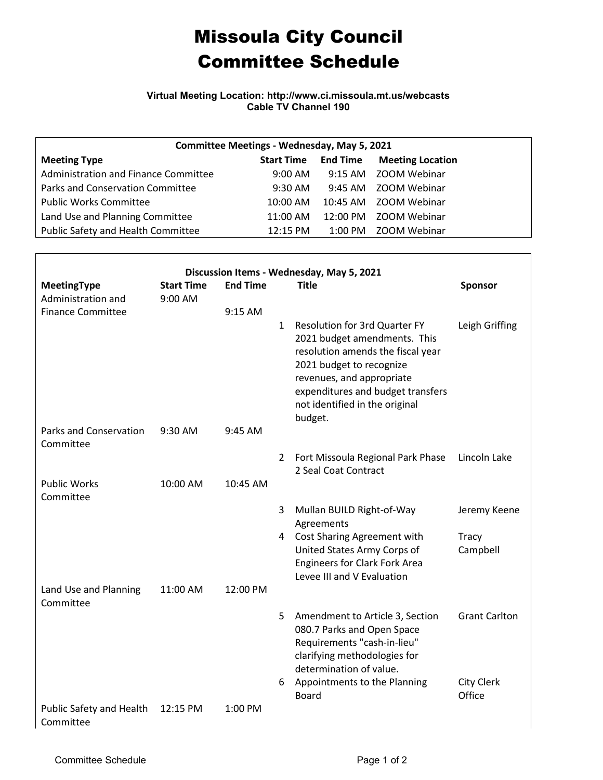## Missoula City Council Committee Schedule

**Virtual Meeting Location: http://www.ci.missoula.mt.us/webcasts Cable TV Channel 190**

| Committee Meetings - Wednesday, May 5, 2021 |                   |                 |                         |  |  |  |  |  |  |  |
|---------------------------------------------|-------------------|-----------------|-------------------------|--|--|--|--|--|--|--|
| <b>Meeting Type</b>                         | <b>Start Time</b> | <b>End Time</b> | <b>Meeting Location</b> |  |  |  |  |  |  |  |
| Administration and Finance Committee        | $9:00 \text{ AM}$ |                 | 9:15 AM ZOOM Webinar    |  |  |  |  |  |  |  |
| Parks and Conservation Committee            | $9:30$ AM         |                 | 9:45 AM ZOOM Webinar    |  |  |  |  |  |  |  |
| <b>Public Works Committee</b>               | $10:00$ AM        |                 | 10:45 AM ZOOM Webinar   |  |  |  |  |  |  |  |
| Land Use and Planning Committee             | 11:00 AM          |                 | 12:00 PM ZOOM Webinar   |  |  |  |  |  |  |  |
| Public Safety and Health Committee          | 12:15 PM          |                 | 1:00 PM ZOOM Webinar    |  |  |  |  |  |  |  |

| Discussion Items - Wednesday, May 5, 2021 |                              |                 |              |                                                                                                                                                                                                                                                      |                      |  |  |  |  |
|-------------------------------------------|------------------------------|-----------------|--------------|------------------------------------------------------------------------------------------------------------------------------------------------------------------------------------------------------------------------------------------------------|----------------------|--|--|--|--|
| MeetingType<br>Administration and         | <b>Start Time</b><br>9:00 AM | <b>End Time</b> |              | <b>Title</b>                                                                                                                                                                                                                                         | Sponsor              |  |  |  |  |
| <b>Finance Committee</b>                  |                              | 9:15 AM         |              |                                                                                                                                                                                                                                                      |                      |  |  |  |  |
|                                           |                              |                 | $\mathbf{1}$ | <b>Resolution for 3rd Quarter FY</b><br>2021 budget amendments. This<br>resolution amends the fiscal year<br>2021 budget to recognize<br>revenues, and appropriate<br>expenditures and budget transfers<br>not identified in the original<br>budget. | Leigh Griffing       |  |  |  |  |
| Parks and Conservation<br>Committee       | 9:30 AM                      | 9:45 AM         |              |                                                                                                                                                                                                                                                      |                      |  |  |  |  |
|                                           |                              |                 | 2            | Fort Missoula Regional Park Phase<br>2 Seal Coat Contract                                                                                                                                                                                            | Lincoln Lake         |  |  |  |  |
| <b>Public Works</b><br>Committee          | 10:00 AM                     | 10:45 AM        |              |                                                                                                                                                                                                                                                      |                      |  |  |  |  |
|                                           |                              |                 | 3            | Mullan BUILD Right-of-Way<br>Agreements                                                                                                                                                                                                              | Jeremy Keene         |  |  |  |  |
|                                           |                              |                 |              | 4 Cost Sharing Agreement with<br>United States Army Corps of<br><b>Engineers for Clark Fork Area</b><br>Levee III and V Evaluation                                                                                                                   | Tracy<br>Campbell    |  |  |  |  |
| Land Use and Planning<br>Committee        | 11:00 AM                     | 12:00 PM        |              |                                                                                                                                                                                                                                                      |                      |  |  |  |  |
|                                           |                              |                 | 5            | Amendment to Article 3, Section<br>080.7 Parks and Open Space<br>Requirements "cash-in-lieu"<br>clarifying methodologies for<br>determination of value.                                                                                              | <b>Grant Carlton</b> |  |  |  |  |
|                                           |                              |                 | 6            | Appointments to the Planning<br><b>Board</b>                                                                                                                                                                                                         | City Clerk<br>Office |  |  |  |  |
| Public Safety and Health<br>Committee     | 12:15 PM                     | 1:00 PM         |              |                                                                                                                                                                                                                                                      |                      |  |  |  |  |

 $\Gamma$